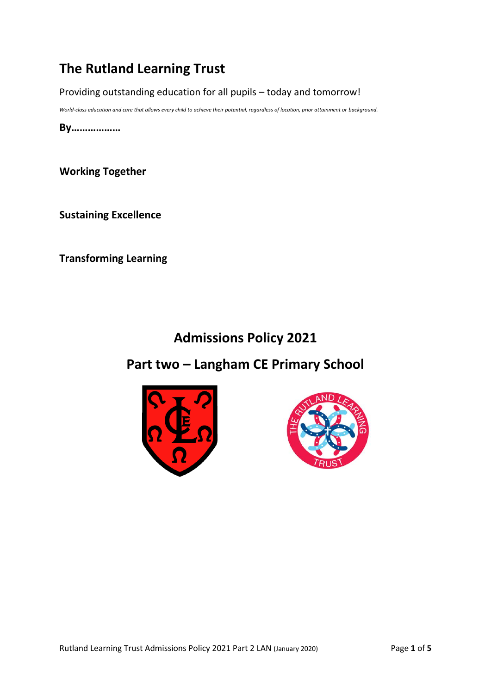# **The Rutland Learning Trust**

Providing outstanding education for all pupils – today and tomorrow!

*World-class education and care that allows every child to achieve their potential, regardless of location, prior attainment or background.*

**By………………**

**Working Together**

**Sustaining Excellence**

**Transforming Learning**

# **Admissions Policy 2021**

# **Part two – Langham CE Primary School**



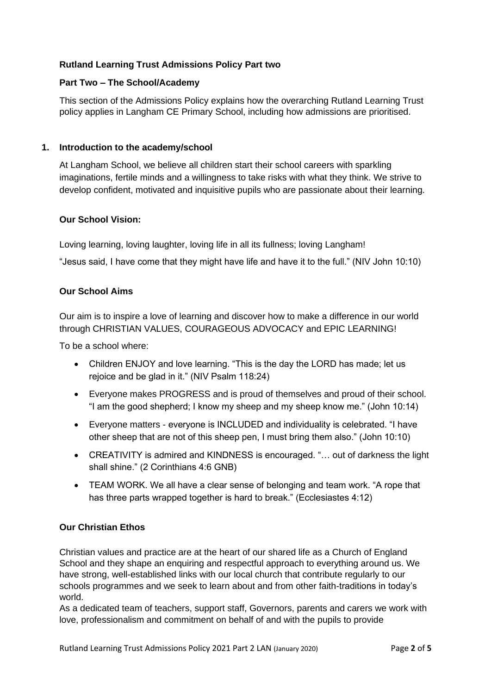## **Rutland Learning Trust Admissions Policy Part two**

#### **Part Two – The School/Academy**

This section of the Admissions Policy explains how the overarching Rutland Learning Trust policy applies in Langham CE Primary School, including how admissions are prioritised.

#### **1. Introduction to the academy/school**

At Langham School, we believe all children start their school careers with sparkling imaginations, fertile minds and a willingness to take risks with what they think. We strive to develop confident, motivated and inquisitive pupils who are passionate about their learning.

#### **Our School Vision:**

Loving learning, loving laughter, loving life in all its fullness; loving Langham!

"Jesus said, I have come that they might have life and have it to the full." (NIV John 10:10)

#### **Our School Aims**

Our aim is to inspire a love of learning and discover how to make a difference in our world through CHRISTIAN VALUES, COURAGEOUS ADVOCACY and EPIC LEARNING!

To be a school where:

- Children ENJOY and love learning. "This is the day the LORD has made; let us rejoice and be glad in it." (NIV Psalm 118:24)
- Everyone makes PROGRESS and is proud of themselves and proud of their school. "I am the good shepherd; I know my sheep and my sheep know me." (John 10:14)
- Everyone matters everyone is INCLUDED and individuality is celebrated. "I have other sheep that are not of this sheep pen, I must bring them also." (John 10:10)
- CREATIVITY is admired and KINDNESS is encouraged. "… out of darkness the light shall shine." (2 Corinthians 4:6 GNB)
- TEAM WORK. We all have a clear sense of belonging and team work. "A rope that has three parts wrapped together is hard to break." (Ecclesiastes 4:12)

### **Our Christian Ethos**

Christian values and practice are at the heart of our shared life as a Church of England School and they shape an enquiring and respectful approach to everything around us. We have strong, well-established links with our local church that contribute regularly to our schools programmes and we seek to learn about and from other faith-traditions in today's world.

As a dedicated team of teachers, support staff, Governors, parents and carers we work with love, professionalism and commitment on behalf of and with the pupils to provide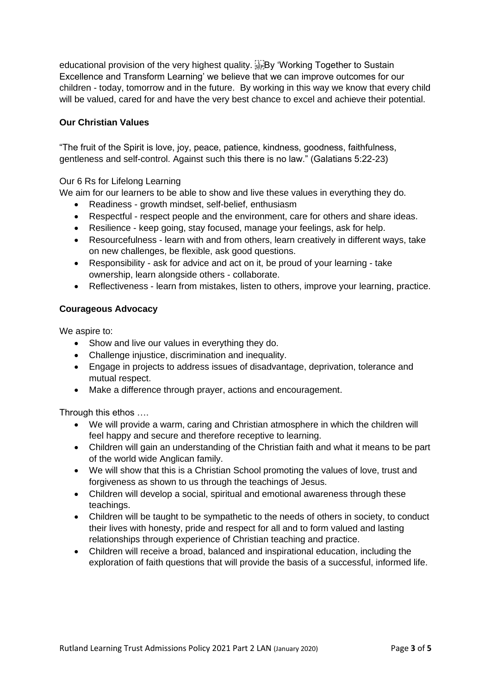educational provision of the very highest quality. **EV** 'Working Together to Sustain Excellence and Transform Learning' we believe that we can improve outcomes for our children - today, tomorrow and in the future. By working in this way we know that every child will be valued, cared for and have the very best chance to excel and achieve their potential.

## **Our Christian Values**

"The fruit of the Spirit is love, joy, peace, patience, kindness, goodness, faithfulness, gentleness and self-control. Against such this there is no law." (Galatians 5:22-23)

### Our 6 Rs for Lifelong Learning

We aim for our learners to be able to show and live these values in everything they do.

- Readiness growth mindset, self-belief, enthusiasm
- Respectful respect people and the environment, care for others and share ideas.
- Resilience keep going, stay focused, manage your feelings, ask for help.
- Resourcefulness learn with and from others, learn creatively in different ways, take on new challenges, be flexible, ask good questions.
- Responsibility ask for advice and act on it, be proud of your learning take ownership, learn alongside others - collaborate.
- Reflectiveness learn from mistakes, listen to others, improve your learning, practice.

### **Courageous Advocacy**

We aspire to:

- Show and live our values in everything they do.
- Challenge injustice, discrimination and inequality.
- Engage in projects to address issues of disadvantage, deprivation, tolerance and mutual respect.
- Make a difference through prayer, actions and encouragement.

Through this ethos ….

- We will provide a warm, caring and Christian atmosphere in which the children will feel happy and secure and therefore receptive to learning.
- Children will gain an understanding of the Christian faith and what it means to be part of the world wide Anglican family.
- We will show that this is a Christian School promoting the values of love, trust and forgiveness as shown to us through the teachings of Jesus.
- Children will develop a social, spiritual and emotional awareness through these teachings.
- Children will be taught to be sympathetic to the needs of others in society, to conduct their lives with honesty, pride and respect for all and to form valued and lasting relationships through experience of Christian teaching and practice.
- Children will receive a broad, balanced and inspirational education, including the exploration of faith questions that will provide the basis of a successful, informed life.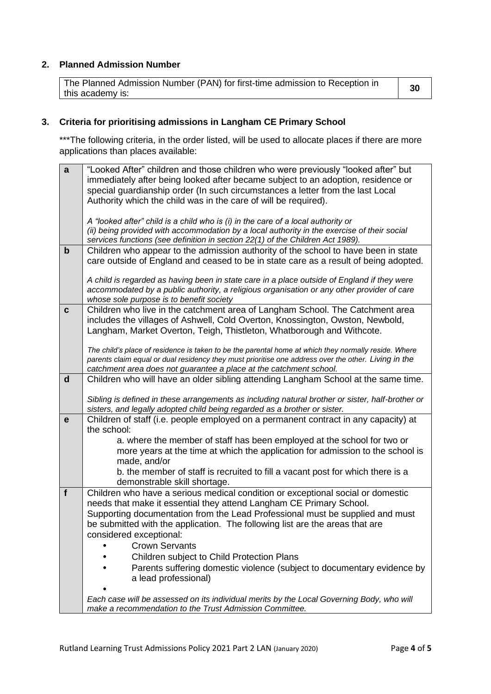## **2. Planned Admission Number**

The Planned Admission Number (PAN) for first-time admission to Reception in this academy is: **<sup>30</sup>**

# **3. Criteria for prioritising admissions in Langham CE Primary School**

\*\*\*The following criteria, in the order listed, will be used to allocate places if there are more applications than places available:

| $\mathbf{a}$ | "Looked After" children and those children who were previously "looked after" but                                                                                             |
|--------------|-------------------------------------------------------------------------------------------------------------------------------------------------------------------------------|
|              | immediately after being looked after became subject to an adoption, residence or                                                                                              |
|              | special guardianship order (In such circumstances a letter from the last Local                                                                                                |
|              | Authority which the child was in the care of will be required).                                                                                                               |
|              |                                                                                                                                                                               |
|              | A "looked after" child is a child who is (i) in the care of a local authority or                                                                                              |
|              | (ii) being provided with accommodation by a local authority in the exercise of their social<br>services functions (see definition in section 22(1) of the Children Act 1989). |
| $\mathbf b$  | Children who appear to the admission authority of the school to have been in state                                                                                            |
|              | care outside of England and ceased to be in state care as a result of being adopted.                                                                                          |
|              |                                                                                                                                                                               |
|              | A child is regarded as having been in state care in a place outside of England if they were                                                                                   |
|              | accommodated by a public authority, a religious organisation or any other provider of care                                                                                    |
|              | whose sole purpose is to benefit society                                                                                                                                      |
| $\mathbf c$  | Children who live in the catchment area of Langham School. The Catchment area                                                                                                 |
|              | includes the villages of Ashwell, Cold Overton, Knossington, Owston, Newbold,                                                                                                 |
|              | Langham, Market Overton, Teigh, Thistleton, Whatborough and Withcote.                                                                                                         |
|              | The child's place of residence is taken to be the parental home at which they normally reside. Where                                                                          |
|              | parents claim equal or dual residency they must prioritise one address over the other. Living in the                                                                          |
|              | catchment area does not guarantee a place at the catchment school.                                                                                                            |
| $\mathbf d$  | Children who will have an older sibling attending Langham School at the same time.                                                                                            |
|              |                                                                                                                                                                               |
|              | Sibling is defined in these arrangements as including natural brother or sister, half-brother or                                                                              |
|              | sisters, and legally adopted child being regarded as a brother or sister.                                                                                                     |
| e            | Children of staff (i.e. people employed on a permanent contract in any capacity) at                                                                                           |
|              | the school:                                                                                                                                                                   |
|              | a. where the member of staff has been employed at the school for two or                                                                                                       |
|              | more years at the time at which the application for admission to the school is<br>made, and/or                                                                                |
|              | b. the member of staff is recruited to fill a vacant post for which there is a                                                                                                |
|              | demonstrable skill shortage.                                                                                                                                                  |
| f            | Children who have a serious medical condition or exceptional social or domestic                                                                                               |
|              | needs that make it essential they attend Langham CE Primary School.                                                                                                           |
|              | Supporting documentation from the Lead Professional must be supplied and must                                                                                                 |
|              | be submitted with the application. The following list are the areas that are                                                                                                  |
|              | considered exceptional:                                                                                                                                                       |
|              | <b>Crown Servants</b>                                                                                                                                                         |
|              | Children subject to Child Protection Plans                                                                                                                                    |
|              | Parents suffering domestic violence (subject to documentary evidence by                                                                                                       |
|              | a lead professional)                                                                                                                                                          |
|              |                                                                                                                                                                               |
|              | Each case will be assessed on its individual merits by the Local Governing Body, who will                                                                                     |
|              | make a recommendation to the Trust Admission Committee.                                                                                                                       |